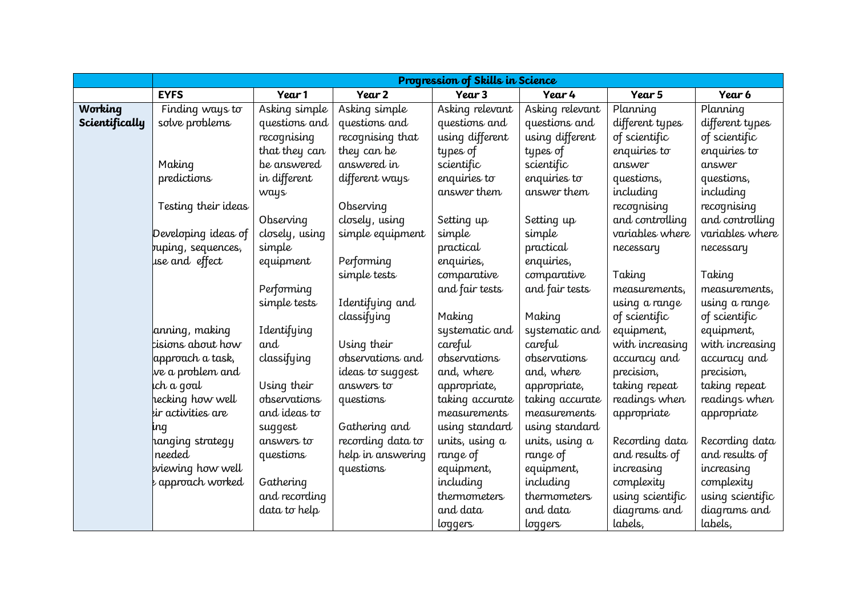|                |                     |                |                   | Progression of Skills in Science |                 |                  |                  |
|----------------|---------------------|----------------|-------------------|----------------------------------|-----------------|------------------|------------------|
|                | <b>EYFS</b>         | Year 1         | Year 2            | Year 3                           | Year 4          | Year 5           | Year 6           |
| Working        | Finding ways to     | Asking simple  | Asking simple     | Asking relevant                  | Asking relevant | Planning         | Planning         |
| Scientifically | solve problems      | questions and  | questions and     | questions and                    | questions and   | different types  | different types  |
|                |                     | recognising    | recognising that  | using different                  | using different | of scientific    | of scientific    |
|                |                     | that they can  | they can be       | types of                         | types of        | enquiries to     | enquiries to     |
|                | Making              | be answered    | answered in       | scientific                       | scientific      | answer           | answer           |
|                | predictions         | in different   | different ways    | enquiries to                     | enquiries to    | questions,       | questions,       |
|                |                     | ways           |                   | answer them                      | answer them     | including        | including        |
|                | Testing their ideas |                | Observing         |                                  |                 | recognising      | recognising      |
|                |                     | Observing      | closely, using    | Setting up                       | Setting up      | and controlling  | and controlling  |
|                | Developing ideas of | closely, using | simple equipment  | simple                           | simple          | variables where  | variables where  |
|                | buping, sequences,  | simple         |                   | practical                        | practical       | necessary        | necessary        |
|                | use and effect      | equipment      | Performing        | enquiries,                       | enquiries,      |                  |                  |
|                |                     |                | simple tests      | comparative                      | comparative     | Taking           | Taking           |
|                |                     | Performing     |                   | and fair tests                   | and fair tests  | measurements,    | measurements,    |
|                |                     | simple tests   | Identifying and   |                                  |                 | using a range    | using a range    |
|                |                     |                | classifying       | Making                           | Making          | of scientific    | of scientific    |
|                | anning, making      | Identifying    |                   | systematic and                   | systematic and  | equipment,       | equipment,       |
|                | tisions about how   | and            | Using their       | careful                          | careful         | with increasing  | with increasing  |
|                | approach a task,    | classifying    | observations and  | observations                     | observations    | accuracy and     | accuracy and     |
|                | we a problem and    |                | ideas to suggest  | and, where                       | and, where      | precision,       | precision,       |
|                | ich a goal          | Using their    | answers to        | appropriate,                     | appropriate,    | taking repeat    | taking repeat    |
|                | hecking how well    | observations   | questions         | taking accurate                  | taking accurate | readings when    | readings when    |
|                | eir activities are  | and ideas to   |                   | measurements                     | measurements    | appropriate      | appropriate      |
|                | ing                 | suggest        | Gathering and     | using standard                   | using standard  |                  |                  |
|                | hanging strategy    | answers to     | recording data to | units, using a                   | units, using a  | Recording data   | Recording data   |
|                | needed              | questions      | help in answering | range of                         | range of        | and results of   | and results of   |
|                | eviewing how well   |                | questions         | equipment,                       | equipment,      | increasing       | increasing       |
|                | e approach worked   | Gathering      |                   | including                        | including       | complexity       | complexity       |
|                |                     | and recording  |                   | thermometers                     | thermometers    | using scientific | using scientific |
|                |                     | data to help   |                   | and data                         | and data        | diagrams and     | diagrams and     |
|                |                     |                |                   | loggers                          | loggers         | labels,          | labels,          |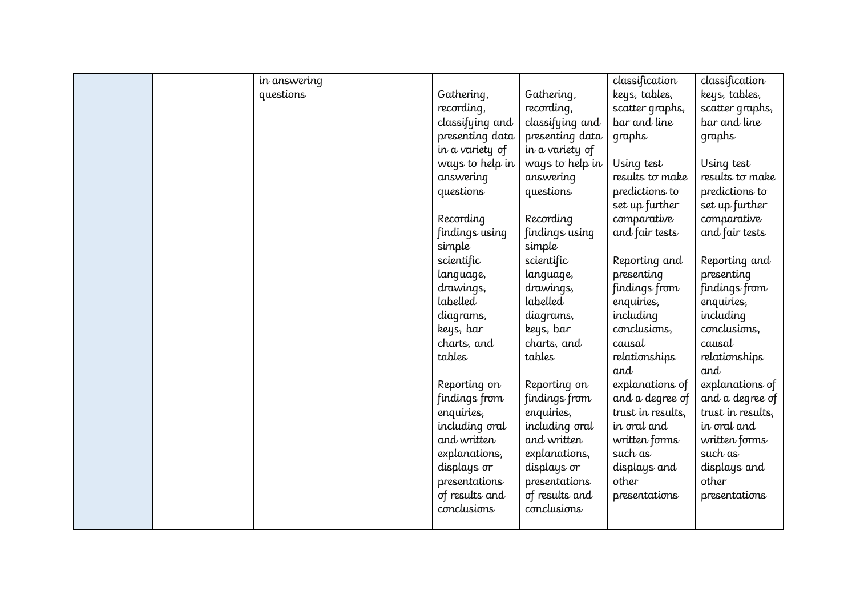|  | in answering |                 |                 | classification    | classification    |
|--|--------------|-----------------|-----------------|-------------------|-------------------|
|  | questions    | Gathering,      | Gathering,      | keys, tables,     | keys, tables,     |
|  |              | recording,      | recording,      | scatter graphs,   | scatter graphs,   |
|  |              | classifying and | classifying and | bar and line      | bar and line      |
|  |              | presenting data | presenting data | graphs            | graphs            |
|  |              | in a variety of | in a variety of |                   |                   |
|  |              | ways to help in | ways to help in | Using test        | Using test        |
|  |              | answering       | answering       | results to make   | results to make   |
|  |              | questions       | questions       | predictions to    | predictions to    |
|  |              |                 |                 | set up further    | set up further    |
|  |              | Recording       | Recording       | comparative       | comparative       |
|  |              | findings using  | findings using  | and fair tests    | and fair tests    |
|  |              | simple          | simple          |                   |                   |
|  |              | scientific      | scientific      | Reporting and     | Reporting and     |
|  |              | language,       | language,       | presenting        | presenting        |
|  |              | drawings,       | drawings,       | findings from     | findings from     |
|  |              | labelled        | labelled        | enquiries,        | enquiries,        |
|  |              | diagrams,       | diagrams,       | including         | including         |
|  |              | keys, bar       | keys, bar       | conclusions,      | conclusions,      |
|  |              | charts, and     | charts, and     | causal            | causal            |
|  |              | tables          | tables          | relationships     | relationships     |
|  |              |                 |                 | and               | and               |
|  |              | Reporting on    | Reporting on    | explanations of   | explanations of   |
|  |              | findings from   | findings from   | and a degree of   | and a degree of   |
|  |              | enquiries,      | enquiries,      | trust in results, | trust in results, |
|  |              | including oral  | including oral  | in oral and       | in oral and       |
|  |              | and written     | and written     | written forms     | written forms     |
|  |              | explanations,   | explanations,   | such as           | such as           |
|  |              | displays or     | displays or     | displays and      | displays and      |
|  |              | presentations   | presentations   | other             | other             |
|  |              | of results and  | of results and  | presentations     | presentations     |
|  |              | conclusions     | conclusions     |                   |                   |
|  |              |                 |                 |                   |                   |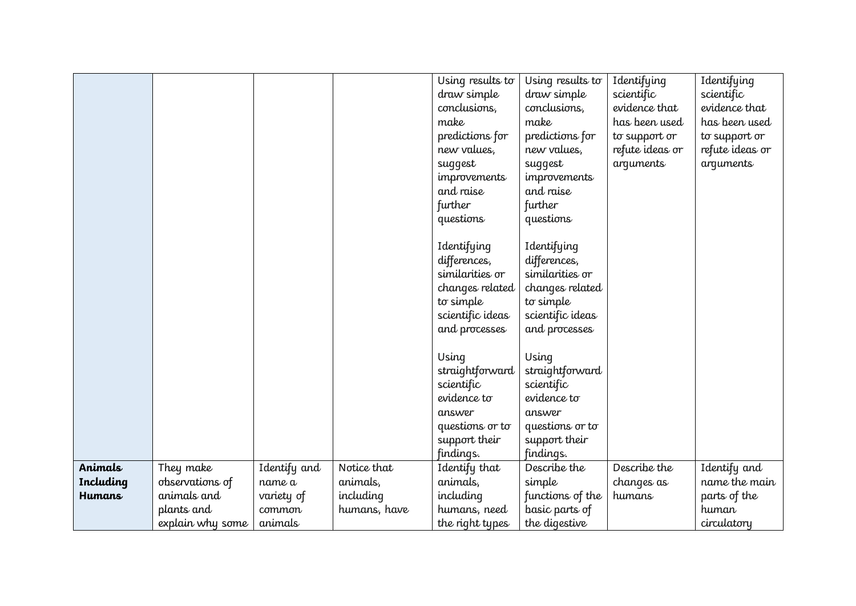|               |                  |              |              | Using results to    | Using results to    | Identifying     | Identifying     |
|---------------|------------------|--------------|--------------|---------------------|---------------------|-----------------|-----------------|
|               |                  |              |              | draw simple         | draw simple         | scientific      | scientific      |
|               |                  |              |              | conclusions,        | conclusions,        | evidence that   | evidence that   |
|               |                  |              |              | make                | make                | has been used   | has been used   |
|               |                  |              |              | predictions for     | predictions for     | to support or   | to support or   |
|               |                  |              |              | new values,         | new values,         | refute ideas or | refute ideas or |
|               |                  |              |              | suggest             | suggest             | arguments       | arguments       |
|               |                  |              |              | <i>improvements</i> | <i>improvements</i> |                 |                 |
|               |                  |              |              | and raise           | and raise           |                 |                 |
|               |                  |              |              | further             | further             |                 |                 |
|               |                  |              |              | questions           | questions           |                 |                 |
|               |                  |              |              |                     |                     |                 |                 |
|               |                  |              |              | Identifying         | Identifying         |                 |                 |
|               |                  |              |              | differences,        | differences,        |                 |                 |
|               |                  |              |              | similarities or     | similarities or     |                 |                 |
|               |                  |              |              | changes related     | changes related     |                 |                 |
|               |                  |              |              | to simple           | to simple           |                 |                 |
|               |                  |              |              | scientific ideas    | scientific ideas    |                 |                 |
|               |                  |              |              | and processes       | and processes       |                 |                 |
|               |                  |              |              |                     |                     |                 |                 |
|               |                  |              |              | Using               | Using               |                 |                 |
|               |                  |              |              | straightforward     | straightforward     |                 |                 |
|               |                  |              |              | scientific          | scientific          |                 |                 |
|               |                  |              |              | evidence to         | evidence to         |                 |                 |
|               |                  |              |              | answer              | answer              |                 |                 |
|               |                  |              |              | questions or to     | questions or to     |                 |                 |
|               |                  |              |              | support their       | support their       |                 |                 |
|               |                  |              |              | findings.           | findings.           |                 |                 |
| Animals       | They make        | Identify and | Notice that  | Identify that       | Describe the        | Describe the    | Identify and    |
| Including     | observations of  | name a       | animals,     | animals,            | simple              | changes as      | name the main   |
| <b>Humans</b> | animals and      | variety of   | including    | including           | functions of the    | humans          | parts of the    |
|               | plants and       | common       | humans, have | humans, need        | basic parts of      |                 | human           |
|               | explain why some | animals      |              | the right types     | the digestive       |                 | circulatory     |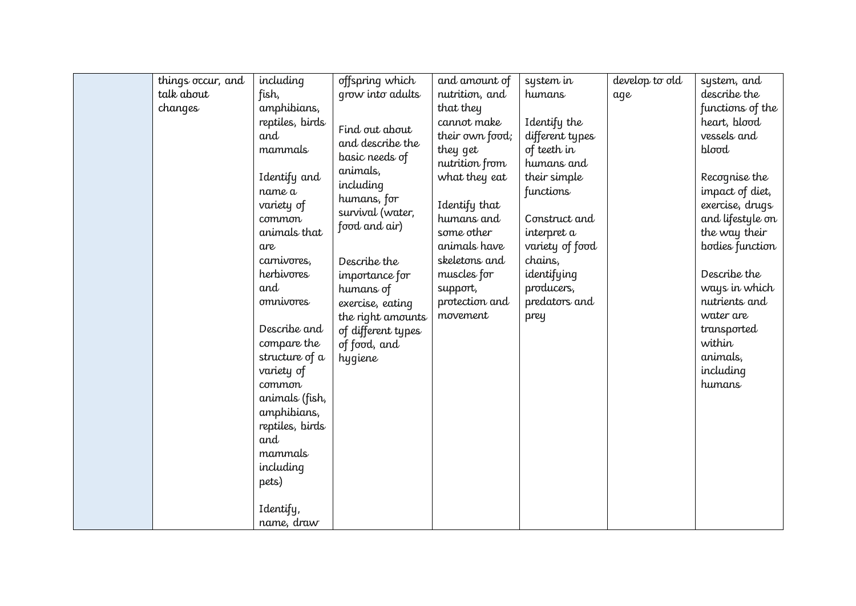| things occur, and | including        | offspring which    | and amount of   | system in       | develop to old | system, and      |
|-------------------|------------------|--------------------|-----------------|-----------------|----------------|------------------|
| talk about        | fish,            | grow into adults   | nutrition, and  | humans          | aqe            | describe the     |
| changes           | amphibians,      |                    | that they       |                 |                | functions of the |
|                   | reptiles, birds  |                    | cannot make     | Identify the    |                | heart, blood     |
|                   | and              | Find out about     | their own food; | different types |                | vessels and      |
|                   | mammals          | and describe the   | they get        | of teeth in     |                | blood            |
|                   |                  | basic needs of     | nutrition from  | humans and      |                |                  |
|                   | Identify and     | animals,           | what they eat   | their simple    |                | Recognise the    |
|                   | name a           | including          |                 | functions       |                | impact of diet,  |
|                   | variety of       | humans, for        | Identify that   |                 |                | exercise, drugs  |
|                   | common           | survival (water,   | humans and      | Construct and   |                | and lifestyle on |
|                   | animals that     | food and air)      | some other      | interpret a     |                | the way their    |
|                   | are              |                    | animals have    | variety of food |                | bodies function  |
|                   | carnivores,      | Describe the       | skeletons and   | chains,         |                |                  |
|                   | herbivores       | importance for     | muscles for     | identifying     |                | Describe the     |
|                   | and              | humans of          | support,        | producers,      |                | ways in which    |
|                   | <i>omnivores</i> | exercise, eating   | protection and  | predators and   |                | nutrients and    |
|                   |                  | the right amounts  | movement        | prey            |                | water are        |
|                   | Describe and     | of different types |                 |                 |                | transported      |
|                   | compare the      | of food, and       |                 |                 |                | within           |
|                   | structure of a   | hygiene            |                 |                 |                | animals,         |
|                   | variety of       |                    |                 |                 |                | including        |
|                   | common           |                    |                 |                 |                | humans           |
|                   | animals (fish,   |                    |                 |                 |                |                  |
|                   | amphibians,      |                    |                 |                 |                |                  |
|                   | reptiles, birds  |                    |                 |                 |                |                  |
|                   | and              |                    |                 |                 |                |                  |
|                   | mammals          |                    |                 |                 |                |                  |
|                   | including        |                    |                 |                 |                |                  |
|                   | pets)            |                    |                 |                 |                |                  |
|                   | Identify,        |                    |                 |                 |                |                  |
|                   | name, draw       |                    |                 |                 |                |                  |
|                   |                  |                    |                 |                 |                |                  |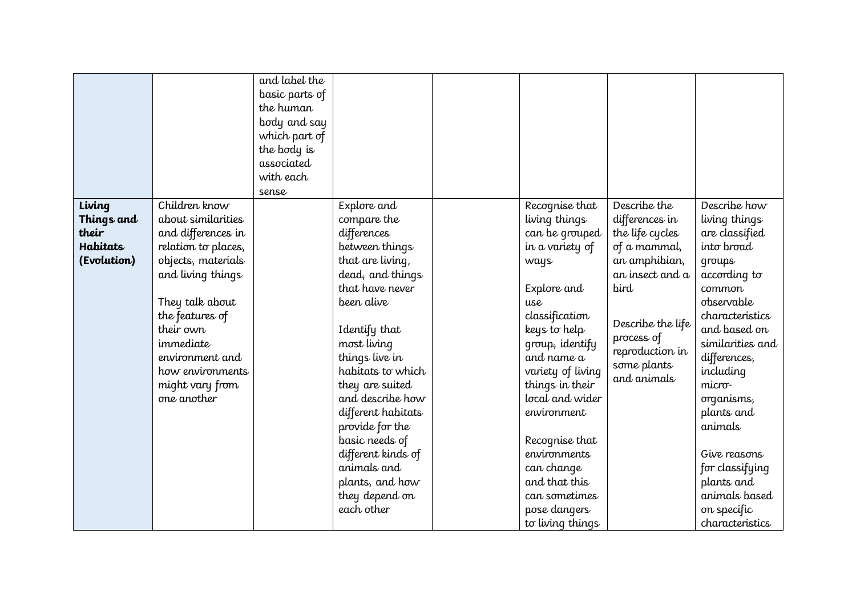|                     |                                          | and label the<br>basic parts of<br>the human<br>body and say<br>which part of<br>the body is<br>associated<br>with each<br>sense |                               |                                 |                                   |                                  |
|---------------------|------------------------------------------|----------------------------------------------------------------------------------------------------------------------------------|-------------------------------|---------------------------------|-----------------------------------|----------------------------------|
| Living              | Children know                            |                                                                                                                                  | Explore and                   | Recognise that                  | Describe the                      | Describe how                     |
| Things and<br>their | about similarities<br>and differences in |                                                                                                                                  | compare the<br>differences    | living things<br>can be grouped | differences in<br>the life cycles | living things<br>are classified  |
| Habitats            | relation to places,                      |                                                                                                                                  | between things                | in a variety of                 | of a mammal,                      | into broad                       |
| (Evolution)         | objects, materials                       |                                                                                                                                  | that are living,              | ways                            | an amphibian,                     | qroups                           |
|                     | and living things                        |                                                                                                                                  | dead, and things              |                                 | an insect and a                   | according to                     |
|                     |                                          |                                                                                                                                  | that have never               | Explore and                     | bird                              | common                           |
|                     | They talk about                          |                                                                                                                                  | been alive                    | $_{II}$ se                      |                                   | observable                       |
|                     | the features of                          |                                                                                                                                  |                               | classification                  | Describe the life                 | characteristics                  |
|                     | their own                                |                                                                                                                                  | Identify that                 | keys to help                    | process of                        | and based on                     |
|                     | immediate<br>environment and             |                                                                                                                                  | most living<br>things live in | group, identify<br>and name a   | reproduction in                   | similarities and<br>differences, |
|                     | how environments                         |                                                                                                                                  | habitats to which             | variety of living               | some plants                       | including                        |
|                     | might vary from                          |                                                                                                                                  | they are suited               | things in their                 | and animals                       | micro-                           |
|                     | one another                              |                                                                                                                                  | and describe how              | local and wider                 |                                   | organisms,                       |
|                     |                                          |                                                                                                                                  | different habitats            | environment                     |                                   | plants and                       |
|                     |                                          |                                                                                                                                  | provide for the               |                                 |                                   | animals                          |
|                     |                                          |                                                                                                                                  | basic needs of                | Recognise that                  |                                   |                                  |
|                     |                                          |                                                                                                                                  | different kinds of            | environments                    |                                   | Give reasons                     |
|                     |                                          |                                                                                                                                  | animals and                   | can change                      |                                   | for classifying                  |
|                     |                                          |                                                                                                                                  | plants, and how               | and that this                   |                                   | plants and                       |
|                     |                                          |                                                                                                                                  | they depend on                | can sometimes                   |                                   | animals based                    |
|                     |                                          |                                                                                                                                  | each other                    | pose dangers                    |                                   | on specific                      |
|                     |                                          |                                                                                                                                  |                               | to living things                |                                   | characteristics                  |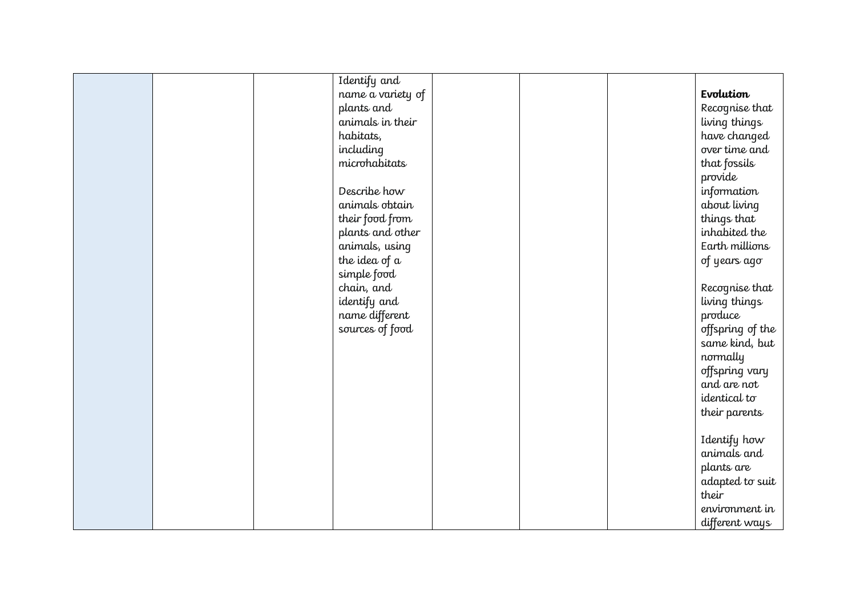|  | Identify and      |  |                  |
|--|-------------------|--|------------------|
|  | name a variety of |  | Evolution        |
|  | plants and        |  | Recognise that   |
|  | animals in their  |  | living things    |
|  | habitats,         |  | have changed     |
|  | including         |  | over time and    |
|  | microhabitats     |  | that fossils     |
|  |                   |  | provide          |
|  | Describe how      |  | information      |
|  | animals obtain    |  | about living     |
|  | their food from   |  | things that      |
|  | plants and other  |  | inhabited the    |
|  | animals, using    |  | Earth millions   |
|  | the idea of a     |  | of years ago     |
|  | simple food       |  |                  |
|  | chain, and        |  | Recognise that   |
|  | identify and      |  | living things    |
|  | name different    |  | produce          |
|  | sources of food   |  | offspring of the |
|  |                   |  | same kind, but   |
|  |                   |  | normally         |
|  |                   |  | offspring vary   |
|  |                   |  | and are not      |
|  |                   |  | identical to     |
|  |                   |  | their parents    |
|  |                   |  |                  |
|  |                   |  | Identify how     |
|  |                   |  | animals and      |
|  |                   |  | plants are       |
|  |                   |  | adapted to suit  |
|  |                   |  | their            |
|  |                   |  | environment in   |
|  |                   |  | different ways   |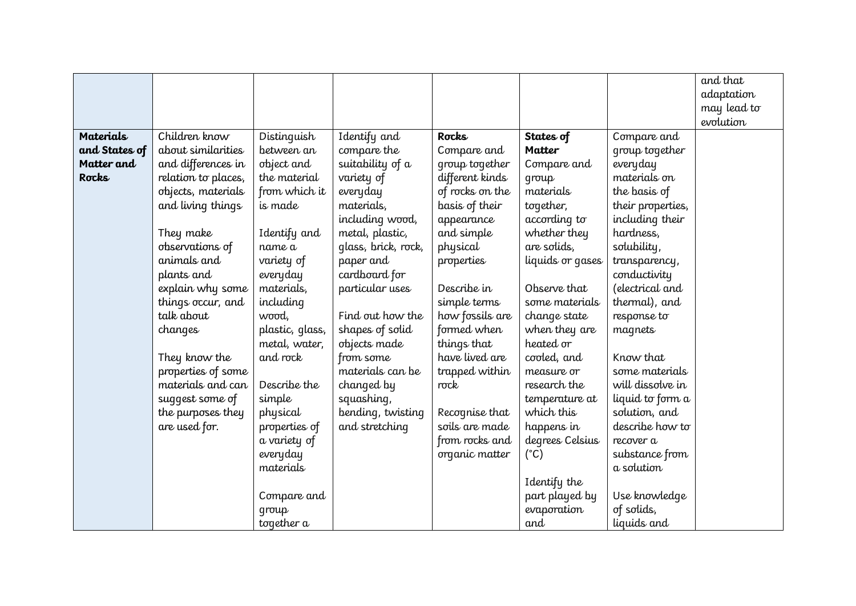|                  |                     |                 |                     |                 |                  |                   | and that    |
|------------------|---------------------|-----------------|---------------------|-----------------|------------------|-------------------|-------------|
|                  |                     |                 |                     |                 |                  |                   | adaptation  |
|                  |                     |                 |                     |                 |                  |                   | may lead to |
|                  |                     |                 |                     |                 |                  |                   | evolution   |
| <b>Materials</b> | Children know       | Distinguish     | Identify and        | Rocks           | States of        | Compare and       |             |
| and States of    | about similarities  | between an      | compare the         | Compare and     | <b>Matter</b>    | group together    |             |
| Matter and       | and differences in  | object and      | suitability of a    | group together  | Compare and      | everyday          |             |
| Rocks            | relation to places, | the material    | variety of          | different kinds | qroup            | materials on      |             |
|                  | objects, materials  | from which it   | everyday            | of rocks on the | materials        | the basis of      |             |
|                  | and living things   | is made         | materials,          | basis of their  | together,        | their properties, |             |
|                  |                     |                 | including wood,     | appearance      | according to     | including their   |             |
|                  | They make           | Identify and    | metal, plastic,     | and simple      | whether they     | hardness,         |             |
|                  | observations of     | name a          | glass, brick, rock, | physical        | are solids,      | solubility,       |             |
|                  | animals and         | variety of      | paper and           | properties      | liquids or gases | transparency,     |             |
|                  | plants and          | everyday        | cardboard for       |                 |                  | conductivity      |             |
|                  | explain why some    | materials,      | particular uses     | Describe in     | Observe that     | (electrical and   |             |
|                  | things occur, and   | including       |                     | simple terms    | some materials   | thermal), and     |             |
|                  | talk about          | wood,           | Find out how the    | how fossils are | change state     | response to       |             |
|                  | changes             | plastic, glass, | shapes of solid     | formed when     | when they are    | magnets           |             |
|                  |                     | metal, water,   | objects made        | things that     | heated or        |                   |             |
|                  | They know the       | and rock        | from some           | have lived are  | cooled, and      | Know that         |             |
|                  | properties of some  |                 | materials can be    | trapped within  | measure or       | some materials    |             |
|                  | materials and can   | Describe the    | changed by          | rock            | research the     | will dissolve in  |             |
|                  | suggest some of     | simple          | squashing,          |                 | temperature at   | liquid to form a  |             |
|                  | the purposes they   | physical        | bending, twisting   | Recognise that  | which this       | solution, and     |             |
|                  | are used for.       | properties of   | and stretching      | soils are made  | happens in       | describe how to   |             |
|                  |                     | a variety of    |                     | from rocks and  | degrees Celsius  | recover a         |             |
|                  |                     | everyday        |                     | organic matter  | $(^{\circ}C)$    | substance from    |             |
|                  |                     | materials       |                     |                 |                  | a solution        |             |
|                  |                     |                 |                     |                 | Identify the     |                   |             |
|                  |                     | Compare and     |                     |                 | part played by   | Use knowledge     |             |
|                  |                     | qroup           |                     |                 | evaporation      | of solids,        |             |
|                  |                     | together a      |                     |                 | and              | liquids and       |             |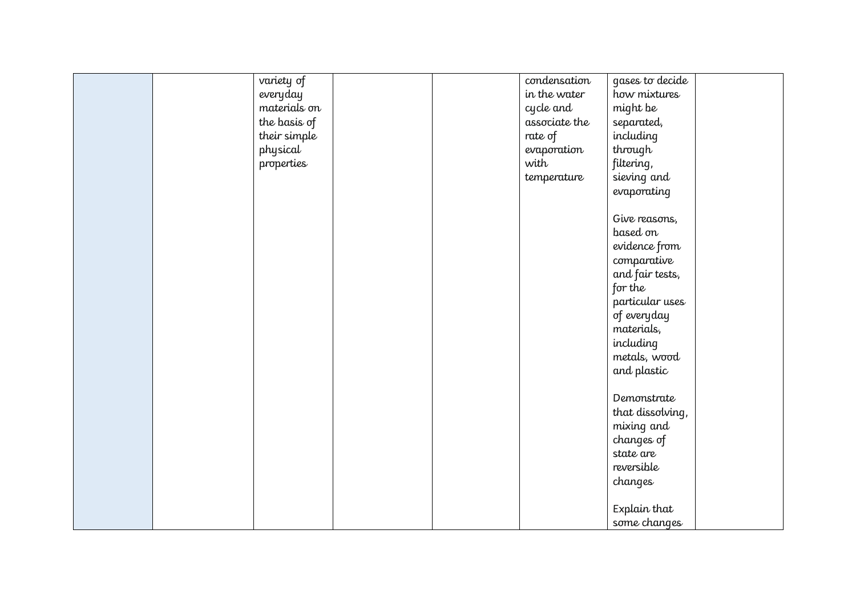| variety of   | condensation  | gases to decide  |  |
|--------------|---------------|------------------|--|
| everyday     | in the water  | how mixtures     |  |
| materials on | cycle and     | might be         |  |
| the basis of | associate the | separated,       |  |
| their simple | rate of       | including        |  |
| physical     | evaporation   | through          |  |
| properties   | with          | filtering,       |  |
|              | temperature   | sieving and      |  |
|              |               | evaporating      |  |
|              |               |                  |  |
|              |               | Give reasons,    |  |
|              |               | based on         |  |
|              |               | evidence from    |  |
|              |               | comparative      |  |
|              |               | and fair tests,  |  |
|              |               | for the          |  |
|              |               | particular uses  |  |
|              |               |                  |  |
|              |               | of everyday      |  |
|              |               | materials,       |  |
|              |               | including        |  |
|              |               | metals, wood     |  |
|              |               | and plastic      |  |
|              |               |                  |  |
|              |               | Demonstrate      |  |
|              |               | that dissolving, |  |
|              |               | mixing and       |  |
|              |               | changes of       |  |
|              |               | state are        |  |
|              |               | reversible       |  |
|              |               | changes          |  |
|              |               |                  |  |
|              |               | Explain that     |  |
|              |               | some changes     |  |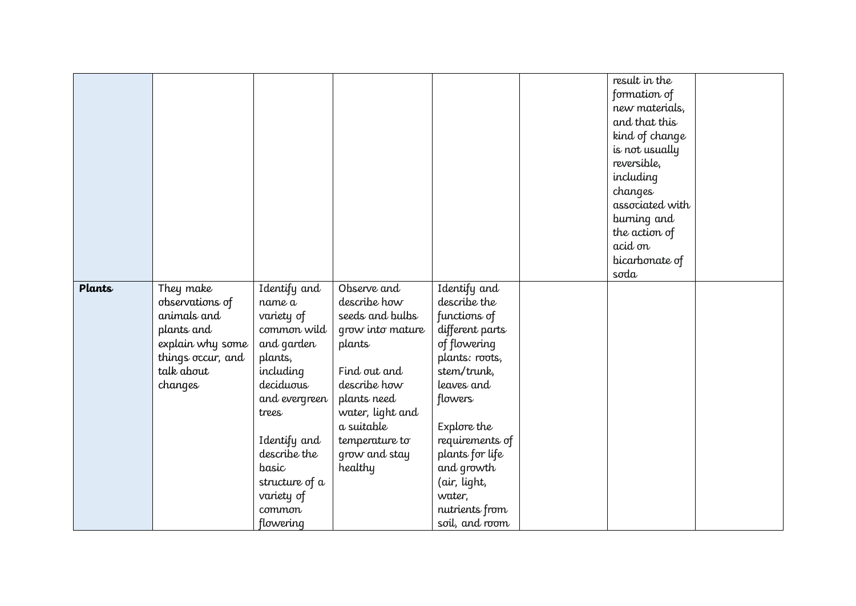| Plants |                                             |                           | Observe and                         |                                 | result in the<br>formation of<br>new materials,<br>and that this<br>kind of change<br>is not usually<br>reversible,<br>including<br>changes<br>associated with<br>burning and<br>the action of<br>acid on<br>bicarbonate of<br>soda |  |
|--------|---------------------------------------------|---------------------------|-------------------------------------|---------------------------------|-------------------------------------------------------------------------------------------------------------------------------------------------------------------------------------------------------------------------------------|--|
|        | They make<br>observations of<br>animals and | Identify and<br>name a    | describe how                        | Identify and<br>describe the    |                                                                                                                                                                                                                                     |  |
|        | plants and                                  | variety of<br>common wild | seeds and bulbs<br>grow into mature | functions of<br>different parts |                                                                                                                                                                                                                                     |  |
|        | explain why some                            | and garden                | plants                              | of flowering                    |                                                                                                                                                                                                                                     |  |
|        | things occur, and                           | plants,                   |                                     | plants: roots,                  |                                                                                                                                                                                                                                     |  |
|        | talk about                                  | including                 | Find out and                        | stem/trunk,                     |                                                                                                                                                                                                                                     |  |
|        | changes                                     | deciduous                 | describe how                        | leaves and                      |                                                                                                                                                                                                                                     |  |
|        |                                             | and evergreen             | plants need                         | flowers                         |                                                                                                                                                                                                                                     |  |
|        |                                             | trees                     | water, light and<br>a suitable      |                                 |                                                                                                                                                                                                                                     |  |
|        |                                             | Identify and              | temperature to                      | Explore the<br>requirements of  |                                                                                                                                                                                                                                     |  |
|        |                                             | describe the              | grow and stay                       | plants for life                 |                                                                                                                                                                                                                                     |  |
|        |                                             | basic                     | healthy                             | and growth                      |                                                                                                                                                                                                                                     |  |
|        |                                             | structure of a            |                                     | (air, light,                    |                                                                                                                                                                                                                                     |  |
|        |                                             | variety of                |                                     | water,                          |                                                                                                                                                                                                                                     |  |
|        |                                             | common                    |                                     | nutrients from                  |                                                                                                                                                                                                                                     |  |
|        |                                             | flowering                 |                                     | soil, and room                  |                                                                                                                                                                                                                                     |  |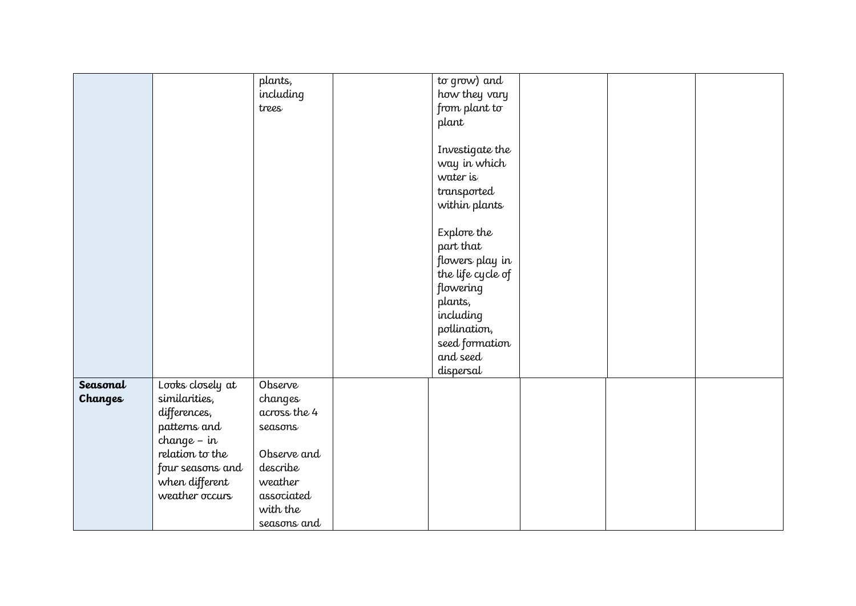|          |                  | plants,      | to grow) and      |  |  |
|----------|------------------|--------------|-------------------|--|--|
|          |                  | including    | how they vary     |  |  |
|          |                  | trees        | from plant to     |  |  |
|          |                  |              | plant             |  |  |
|          |                  |              |                   |  |  |
|          |                  |              | Investigate the   |  |  |
|          |                  |              |                   |  |  |
|          |                  |              | way in which      |  |  |
|          |                  |              | water is          |  |  |
|          |                  |              | transported       |  |  |
|          |                  |              | within plants     |  |  |
|          |                  |              |                   |  |  |
|          |                  |              | Explore the       |  |  |
|          |                  |              | part that         |  |  |
|          |                  |              | flowers play in   |  |  |
|          |                  |              | the life cycle of |  |  |
|          |                  |              | flowering         |  |  |
|          |                  |              | plants,           |  |  |
|          |                  |              | including         |  |  |
|          |                  |              |                   |  |  |
|          |                  |              | pollination,      |  |  |
|          |                  |              | seed formation    |  |  |
|          |                  |              | and seed          |  |  |
|          |                  |              | dispersal         |  |  |
| Seasonal | Looks closely at | Observe      |                   |  |  |
| Changes  | similarities,    | changes      |                   |  |  |
|          | differences,     | across the 4 |                   |  |  |
|          | patterns and     | seasons      |                   |  |  |
|          | $change - in$    |              |                   |  |  |
|          | relation to the  | Observe and  |                   |  |  |
|          | four seasons and | describe     |                   |  |  |
|          | when different   | weather      |                   |  |  |
|          | weather occurs   | associated   |                   |  |  |
|          |                  | with the     |                   |  |  |
|          |                  | seasons and  |                   |  |  |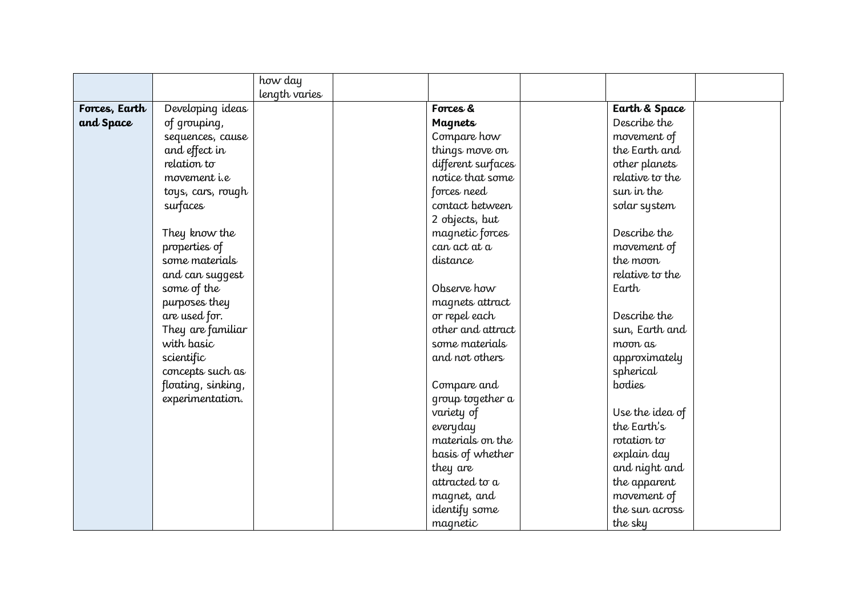|               |                     | how day       |                    |                 |  |
|---------------|---------------------|---------------|--------------------|-----------------|--|
|               |                     | length varies |                    |                 |  |
| Forces, Earth | Developing ideas    |               | Forces &           | Earth & Space   |  |
| and Space     | of grouping,        |               | <b>Magnets</b>     | Describe the    |  |
|               | sequences, cause    |               | Compare how        | movement of     |  |
|               | and effect in       |               | things move on     | the Earth and   |  |
|               | relation to         |               | different surfaces | other planets   |  |
|               | movement <i>i.e</i> |               | notice that some   | relative to the |  |
|               | toys, cars, rough   |               | forces need        | sun in the      |  |
|               | surfaces            |               | contact between    | solar system    |  |
|               |                     |               | 2 objects, but     |                 |  |
|               | They know the       |               | magnetic forces    | Describe the    |  |
|               | properties of       |               | can act at a       | movement of     |  |
|               | some materials      |               | distance           | the moon        |  |
|               | and can suggest     |               |                    | relative to the |  |
|               | some of the         |               | Observe how        | Earth           |  |
|               | purposes they       |               | magnets attract    |                 |  |
|               | are used for.       |               | or repel each      | Describe the    |  |
|               | They are familiar   |               | other and attract  | sun, Earth and  |  |
|               | with basic          |               | some materials     | moon as         |  |
|               | scientific          |               | and not others     | approximately   |  |
|               | concepts such as    |               |                    | spherical       |  |
|               | floating, sinking,  |               | Compare and        | bodies          |  |
|               | experimentation.    |               | group together a   |                 |  |
|               |                     |               | variety of         | Use the idea of |  |
|               |                     |               | everyday           | the Earth's     |  |
|               |                     |               | materials on the   | rotation to     |  |
|               |                     |               | basis of whether   | explain day     |  |
|               |                     |               | they are           | and night and   |  |
|               |                     |               | attracted to a     | the apparent    |  |
|               |                     |               | magnet, and        | movement of     |  |
|               |                     |               | identify some      | the sun across  |  |
|               |                     |               | magnetic           | the sky         |  |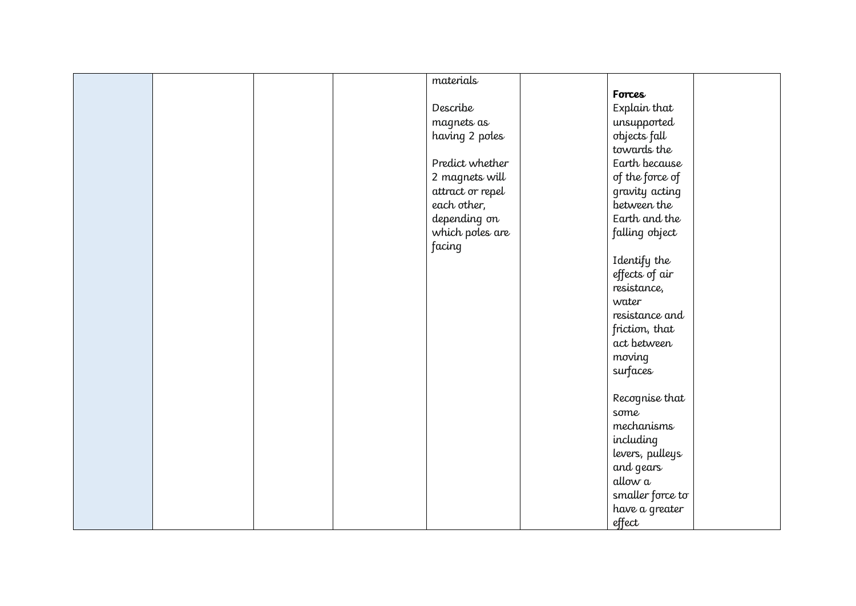|  |  | materials        |                  |  |
|--|--|------------------|------------------|--|
|  |  |                  | Forces           |  |
|  |  | Describe         | Explain that     |  |
|  |  | magnets as       | unsupported      |  |
|  |  | having 2 poles   | objects fall     |  |
|  |  |                  | towards the      |  |
|  |  | Predict whether  | Earth because    |  |
|  |  | 2 magnets will   | of the force of  |  |
|  |  | attract or repel | gravity acting   |  |
|  |  | each other,      | between the      |  |
|  |  | depending on     | Earth and the    |  |
|  |  | which poles are  | falling object   |  |
|  |  | facing           |                  |  |
|  |  |                  | Identify the     |  |
|  |  |                  | effects of air   |  |
|  |  |                  | resistance,      |  |
|  |  |                  | water            |  |
|  |  |                  | resistance and   |  |
|  |  |                  | friction, that   |  |
|  |  |                  | act between      |  |
|  |  |                  | moving           |  |
|  |  |                  | surfaces         |  |
|  |  |                  |                  |  |
|  |  |                  | Recognise that   |  |
|  |  |                  | some             |  |
|  |  |                  | mechanisms       |  |
|  |  |                  | including        |  |
|  |  |                  | levers, pulleys  |  |
|  |  |                  | and gears        |  |
|  |  |                  | allow a          |  |
|  |  |                  | smaller force to |  |
|  |  |                  | have a greater   |  |
|  |  |                  | effect           |  |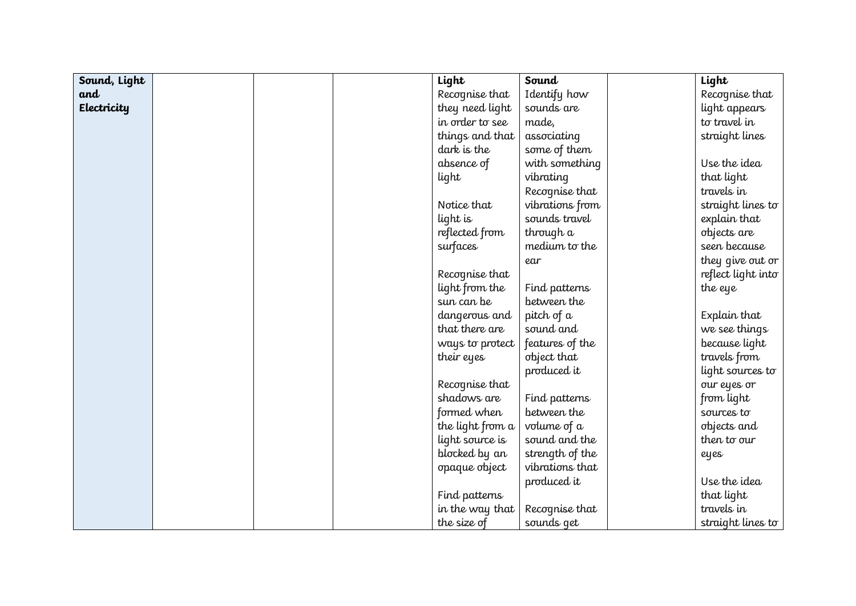| Sound, Light |  | Light            | Sound             | Light              |
|--------------|--|------------------|-------------------|--------------------|
| and          |  | Recognise that   | Identify how      | Recognise that     |
| Electricity  |  | they need light  | sounds are        | light appears      |
|              |  | in order to see  | made,             | to travel in       |
|              |  | things and that  | associating       | straight lines     |
|              |  | dark is the      | some of them      |                    |
|              |  | absence of       | with something    | Use the idea       |
|              |  | light            | vibrating         | that light         |
|              |  |                  | Recognise that    | travels in         |
|              |  | Notice that      | vibrations from   | straight lines to  |
|              |  | light is         | sounds travel     | explain that       |
|              |  | reflected from   | through a         | objects are        |
|              |  | surfaces         | medium to the     | seen because       |
|              |  |                  | ear               | they give out or   |
|              |  | Recognise that   |                   | reflect light into |
|              |  | light from the   | Find patterns     | the eye            |
|              |  | sun can be       | between the       |                    |
|              |  | dangerous and    | pitch of $\alpha$ | Explain that       |
|              |  | that there are   | sound and         | we see things      |
|              |  | ways to protect  | features of the   | because light      |
|              |  | their eyes       | object that       | travels from       |
|              |  |                  | produced it       | light sources to   |
|              |  | Recognise that   |                   | our eyes or        |
|              |  | shadows are      | Find patterns     | from light         |
|              |  | formed when      | between the       | sources to         |
|              |  | the light from a | volume of a       | objects and        |
|              |  | light source is  | sound and the     | then to our        |
|              |  | blocked by an    | strength of the   | eyes               |
|              |  | opaque object    | vibrations that   |                    |
|              |  |                  | produced it       | Use the idea       |
|              |  | Find patterns    |                   | that light         |
|              |  | in the way that  | Recognise that    | travels in         |
|              |  | the size of      | sounds get        | straight lines to  |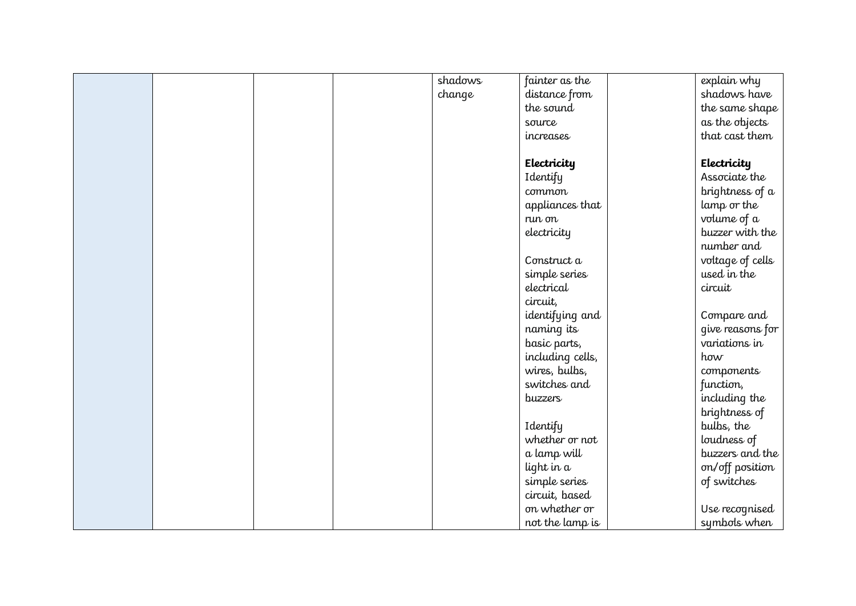|  |  | shadows | fainter as the   | explain why      |
|--|--|---------|------------------|------------------|
|  |  | change  | distance from    | shadows have     |
|  |  |         | the sound        | the same shape   |
|  |  |         | source           | as the objects   |
|  |  |         | increases        | that cast them   |
|  |  |         |                  |                  |
|  |  |         | Electricity      | Electricity      |
|  |  |         | Identify         | Associate the    |
|  |  |         | common           | brightness of a  |
|  |  |         | appliances that  | lamp or the      |
|  |  |         | run on           | volume of a      |
|  |  |         | electricity      | buzzer with the  |
|  |  |         |                  | number and       |
|  |  |         | Construct a      | voltage of cells |
|  |  |         | simple series    | used in the      |
|  |  |         | electrical       | circuit          |
|  |  |         | circuit,         |                  |
|  |  |         | identifying and  | Compare and      |
|  |  |         | naming its       | give reasons for |
|  |  |         | basic parts,     | variations in    |
|  |  |         | including cells, | how              |
|  |  |         | wires, bulbs,    | components       |
|  |  |         | switches and     | function,        |
|  |  |         | buzzers          | including the    |
|  |  |         |                  | brightness of    |
|  |  |         | Identify         | bulbs, the       |
|  |  |         | whether or not   | loudness of      |
|  |  |         | a lamp will      | buzzers and the  |
|  |  |         | light in a       | on/off position  |
|  |  |         | simple series    | of switches      |
|  |  |         | circuit, based   |                  |
|  |  |         | on whether or    | Use recognised   |
|  |  |         | not the lamp is  | symbols when     |